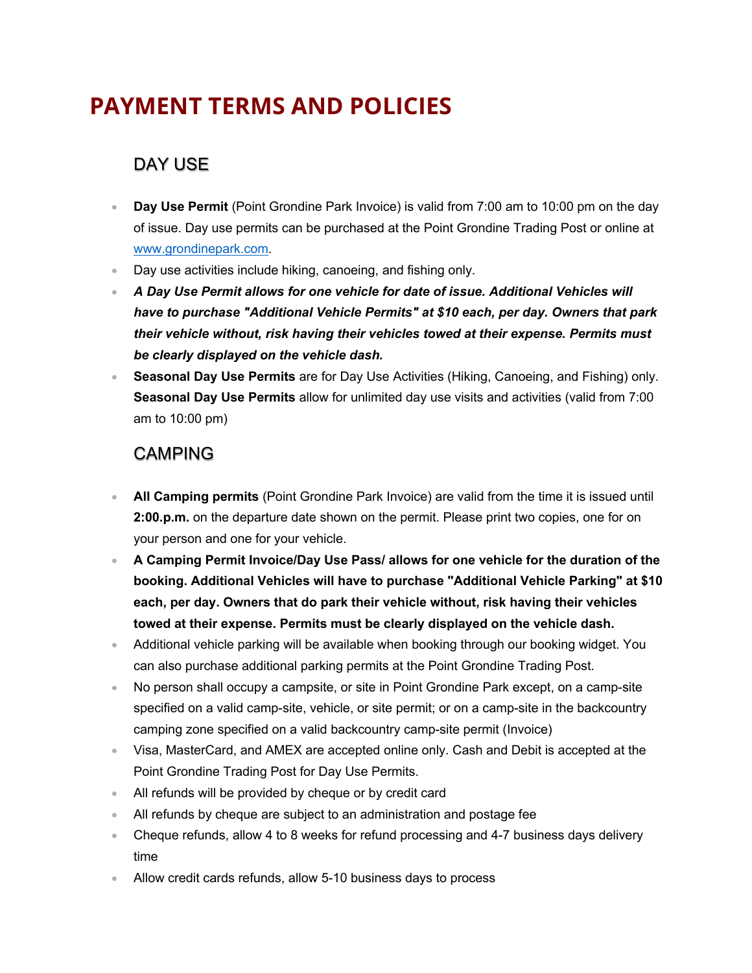# **PAYMENT TERMS AND POLICIES**

#### DAY USE

- **Day Use Permit** (Point Grondine Park Invoice) is valid from 7:00 am to 10:00 pm on the day of issue. Day use permits can be purchased at the Point Grondine Trading Post or online at www.grondinepark.com.
- Day use activities include hiking, canoeing, and fishing only.
- *A Day Use Permit allows for one vehicle for date of issue. Additional Vehicles will have to purchase "Additional Vehicle Permits" at \$10 each, per day. Owners that park their vehicle without, risk having their vehicles towed at their expense. Permits must be clearly displayed on the vehicle dash.*
- **Seasonal Day Use Permits** are for Day Use Activities (Hiking, Canoeing, and Fishing) only. **Seasonal Day Use Permits** allow for unlimited day use visits and activities (valid from 7:00 am to 10:00 pm)

#### CAMPING

- **All Camping permits** (Point Grondine Park Invoice) are valid from the time it is issued until **2:00.p.m.** on the departure date shown on the permit. Please print two copies, one for on your person and one for your vehicle.
- **A Camping Permit Invoice/Day Use Pass/ allows for one vehicle for the duration of the booking. Additional Vehicles will have to purchase "Additional Vehicle Parking" at \$10 each, per day. Owners that do park their vehicle without, risk having their vehicles towed at their expense. Permits must be clearly displayed on the vehicle dash.**
- Additional vehicle parking will be available when booking through our booking widget. You can also purchase additional parking permits at the Point Grondine Trading Post.
- No person shall occupy a campsite, or site in Point Grondine Park except, on a camp-site specified on a valid camp-site, vehicle, or site permit; or on a camp-site in the backcountry camping zone specified on a valid backcountry camp-site permit (Invoice)
- Visa, MasterCard, and AMEX are accepted online only. Cash and Debit is accepted at the Point Grondine Trading Post for Day Use Permits.
- All refunds will be provided by cheque or by credit card
- All refunds by cheque are subject to an administration and postage fee
- Cheque refunds, allow 4 to 8 weeks for refund processing and 4-7 business days delivery time
- Allow credit cards refunds, allow 5-10 business days to process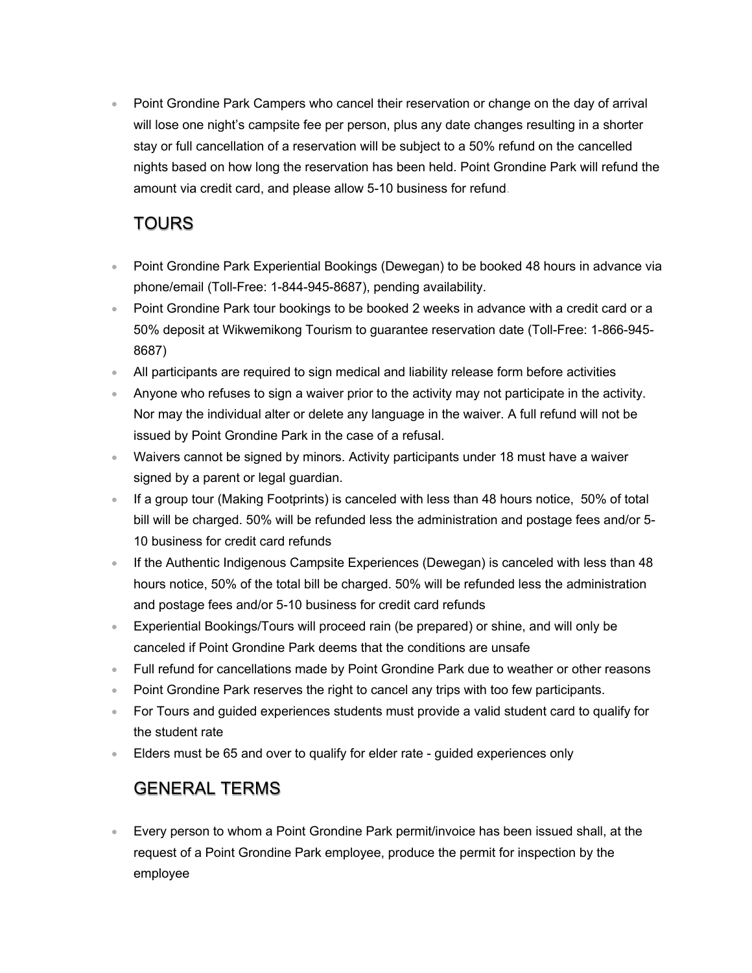• Point Grondine Park Campers who cancel their reservation or change on the day of arrival will lose one night's campsite fee per person, plus any date changes resulting in a shorter stay or full cancellation of a reservation will be subject to a 50% refund on the cancelled nights based on how long the reservation has been held. Point Grondine Park will refund the amount via credit card, and please allow 5-10 business for refund.

### **TOURS**

- Point Grondine Park Experiential Bookings (Dewegan) to be booked 48 hours in advance via phone/email (Toll-Free: 1-844-945-8687), pending availability.
- Point Grondine Park tour bookings to be booked 2 weeks in advance with a credit card or a 50% deposit at Wikwemikong Tourism to guarantee reservation date (Toll-Free: 1-866-945- 8687)
- All participants are required to sign medical and liability release form before activities
- Anyone who refuses to sign a waiver prior to the activity may not participate in the activity. Nor may the individual alter or delete any language in the waiver. A full refund will not be issued by Point Grondine Park in the case of a refusal.
- Waivers cannot be signed by minors. Activity participants under 18 must have a waiver signed by a parent or legal guardian.
- If a group tour (Making Footprints) is canceled with less than 48 hours notice, 50% of total bill will be charged. 50% will be refunded less the administration and postage fees and/or 5- 10 business for credit card refunds
- If the Authentic Indigenous Campsite Experiences (Dewegan) is canceled with less than 48 hours notice, 50% of the total bill be charged. 50% will be refunded less the administration and postage fees and/or 5-10 business for credit card refunds
- Experiential Bookings/Tours will proceed rain (be prepared) or shine, and will only be canceled if Point Grondine Park deems that the conditions are unsafe
- Full refund for cancellations made by Point Grondine Park due to weather or other reasons
- Point Grondine Park reserves the right to cancel any trips with too few participants.
- For Tours and guided experiences students must provide a valid student card to qualify for the student rate
- Elders must be 65 and over to qualify for elder rate guided experiences only

## GENERAL TERMS

• Every person to whom a Point Grondine Park permit/invoice has been issued shall, at the request of a Point Grondine Park employee, produce the permit for inspection by the employee